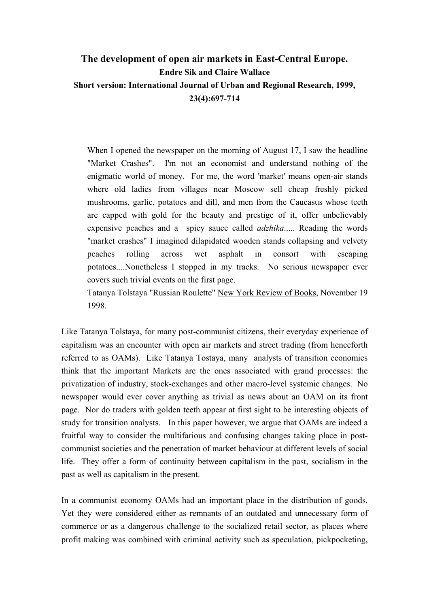# **The development of open air markets in East-Central Europe. Endre Sik and Claire Wallace Short version: International Journal of Urban and Regional Research, 1999, 23(4):697-714**

When I opened the newspaper on the morning of August 17, I saw the headline "Market Crashes". I'm not an economist and understand nothing of the enigmatic world of money. For me, the word 'market' means open-air stands where old ladies from villages near Moscow sell cheap freshly picked mushrooms, garlic, potatoes and dill, and men from the Caucasus whose teeth are capped with gold for the beauty and prestige of it, offer unbelievably expensive peaches and a spicy sauce called *adzhika*..... Reading the words "market crashes" I imagined dilapidated wooden stands collapsing and velvety peaches rolling across wet asphalt in consort with escaping potatoes....Nonetheless I stopped in my tracks. No serious newspaper ever covers such trivial events on the first page.

Tatanya Tolstaya "Russian Roulette" New York Review of Books, November 19 1998.

Like Tatanya Tolstaya, for many post-communist citizens, their everyday experience of capitalism was an encounter with open air markets and street trading (from henceforth referred to as OAMs). Like Tatanya Tostaya, many analysts of transition economies think that the important Markets are the ones associated with grand processes: the privatization of industry, stock-exchanges and other macro-level systemic changes. No newspaper would ever cover anything as trivial as news about an OAM on its front page. Nor do traders with golden teeth appear at first sight to be interesting objects of study for transition analysts. In this paper however, we argue that OAMs are indeed a fruitful way to consider the multifarious and confusing changes taking place in postcommunist societies and the penetration of market behaviour at different levels of social life. They offer a form of continuity between capitalism in the past, socialism in the past as well as capitalism in the present.

In a communist economy OAMs had an important place in the distribution of goods. Yet they were considered either as remnants of an outdated and unnecessary form of commerce or as a dangerous challenge to the socialized retail sector, as places where profit making was combined with criminal activity such as speculation, pickpocketing,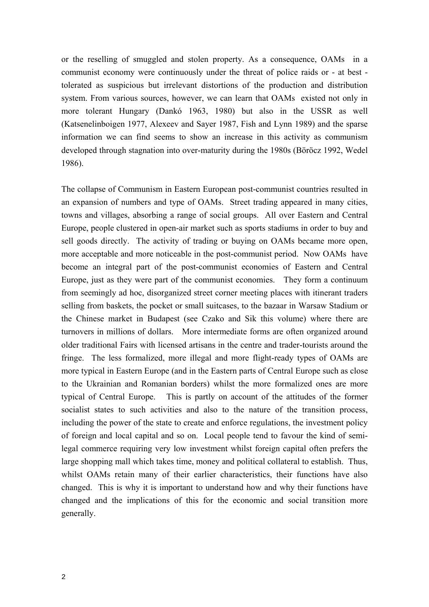or the reselling of smuggled and stolen property. As a consequence, OAMs in a communist economy were continuously under the threat of police raids or - at best tolerated as suspicious but irrelevant distortions of the production and distribution system. From various sources, however, we can learn that OAMs existed not only in more tolerant Hungary (Dankó 1963, 1980) but also in the USSR as well (Katsenelinboigen 1977, Alexeev and Sayer 1987, Fish and Lynn 1989) and the sparse information we can find seems to show an increase in this activity as communism developed through stagnation into over-maturity during the 1980s (Böröcz 1992, Wedel 1986).

The collapse of Communism in Eastern European post-communist countries resulted in an expansion of numbers and type of OAMs. Street trading appeared in many cities, towns and villages, absorbing a range of social groups. All over Eastern and Central Europe, people clustered in open-air market such as sports stadiums in order to buy and sell goods directly. The activity of trading or buying on OAMs became more open, more acceptable and more noticeable in the post-communist period. Now OAMs have become an integral part of the post-communist economies of Eastern and Central Europe, just as they were part of the communist economies. They form a continuum from seemingly ad hoc, disorganized street corner meeting places with itinerant traders selling from baskets, the pocket or small suitcases, to the bazaar in Warsaw Stadium or the Chinese market in Budapest (see Czako and Sik this volume) where there are turnovers in millions of dollars. More intermediate forms are often organized around older traditional Fairs with licensed artisans in the centre and trader-tourists around the fringe. The less formalized, more illegal and more flight-ready types of OAMs are more typical in Eastern Europe (and in the Eastern parts of Central Europe such as close to the Ukrainian and Romanian borders) whilst the more formalized ones are more typical of Central Europe. This is partly on account of the attitudes of the former socialist states to such activities and also to the nature of the transition process, including the power of the state to create and enforce regulations, the investment policy of foreign and local capital and so on. Local people tend to favour the kind of semilegal commerce requiring very low investment whilst foreign capital often prefers the large shopping mall which takes time, money and political collateral to establish. Thus, whilst OAMs retain many of their earlier characteristics, their functions have also changed. This is why it is important to understand how and why their functions have changed and the implications of this for the economic and social transition more generally.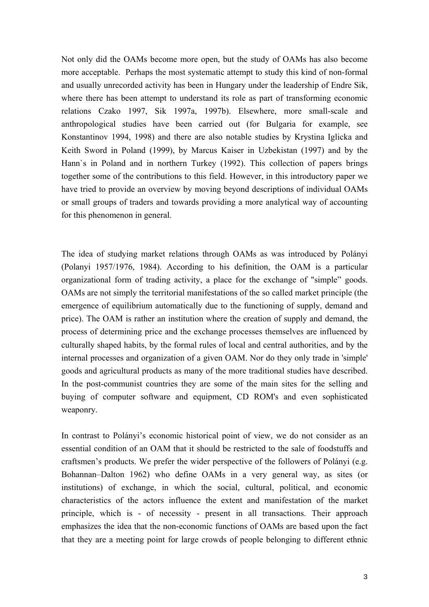Not only did the OAMs become more open, but the study of OAMs has also become more acceptable. Perhaps the most systematic attempt to study this kind of non-formal and usually unrecorded activity has been in Hungary under the leadership of Endre Sik, where there has been attempt to understand its role as part of transforming economic relations Czako 1997, Sik 1997a, 1997b). Elsewhere, more small-scale and anthropological studies have been carried out (for Bulgaria for example, see Konstantinov 1994, 1998) and there are also notable studies by Krystina Iglicka and Keith Sword in Poland (1999), by Marcus Kaiser in Uzbekistan (1997) and by the Hann`s in Poland and in northern Turkey (1992). This collection of papers brings together some of the contributions to this field. However, in this introductory paper we have tried to provide an overview by moving beyond descriptions of individual OAMs or small groups of traders and towards providing a more analytical way of accounting for this phenomenon in general.

The idea of studying market relations through OAMs as was introduced by Polányi (Polanyi 1957/1976, 1984). According to his definition, the OAM is a particular organizational form of trading activity, a place for the exchange of "simple" goods. OAMs are not simply the territorial manifestations of the so called market principle (the emergence of equilibrium automatically due to the functioning of supply, demand and price). The OAM is rather an institution where the creation of supply and demand, the process of determining price and the exchange processes themselves are influenced by culturally shaped habits, by the formal rules of local and central authorities, and by the internal processes and organization of a given OAM. Nor do they only trade in 'simple' goods and agricultural products as many of the more traditional studies have described. In the post-communist countries they are some of the main sites for the selling and buying of computer software and equipment, CD ROM's and even sophisticated weaponry.

In contrast to Polányi's economic historical point of view, we do not consider as an essential condition of an OAM that it should be restricted to the sale of foodstuffs and craftsmen's products. We prefer the wider perspective of the followers of Polányi (e.g. Bohannan–Dalton 1962) who define OAMs in a very general way, as sites (or institutions) of exchange, in which the social, cultural, political, and economic characteristics of the actors influence the extent and manifestation of the market principle, which is - of necessity - present in all transactions. Their approach emphasizes the idea that the non-economic functions of OAMs are based upon the fact that they are a meeting point for large crowds of people belonging to different ethnic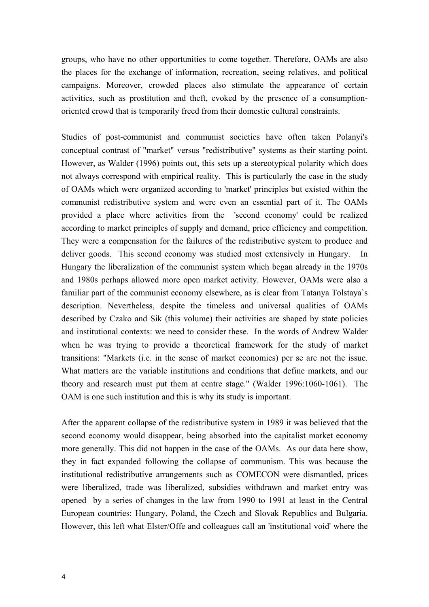groups, who have no other opportunities to come together. Therefore, OAMs are also the places for the exchange of information, recreation, seeing relatives, and political campaigns. Moreover, crowded places also stimulate the appearance of certain activities, such as prostitution and theft, evoked by the presence of a consumptionoriented crowd that is temporarily freed from their domestic cultural constraints.

Studies of post-communist and communist societies have often taken Polanyi's conceptual contrast of "market" versus "redistributive" systems as their starting point. However, as Walder (1996) points out, this sets up a stereotypical polarity which does not always correspond with empirical reality. This is particularly the case in the study of OAMs which were organized according to 'market' principles but existed within the communist redistributive system and were even an essential part of it. The OAMs provided a place where activities from the 'second economy' could be realized according to market principles of supply and demand, price efficiency and competition. They were a compensation for the failures of the redistributive system to produce and deliver goods. This second economy was studied most extensively in Hungary. In Hungary the liberalization of the communist system which began already in the 1970s and 1980s perhaps allowed more open market activity. However, OAMs were also a familiar part of the communist economy elsewhere, as is clear from Tatanya Tolstaya`s description. Nevertheless, despite the timeless and universal qualities of OAMs described by Czako and Sik (this volume) their activities are shaped by state policies and institutional contexts: we need to consider these. In the words of Andrew Walder when he was trying to provide a theoretical framework for the study of market transitions: "Markets (i.e. in the sense of market economies) per se are not the issue. What matters are the variable institutions and conditions that define markets, and our theory and research must put them at centre stage." (Walder 1996:1060-1061). The OAM is one such institution and this is why its study is important.

After the apparent collapse of the redistributive system in 1989 it was believed that the second economy would disappear, being absorbed into the capitalist market economy more generally. This did not happen in the case of the OAMs. As our data here show, they in fact expanded following the collapse of communism. This was because the institutional redistributive arrangements such as COMECON were dismantled, prices were liberalized, trade was liberalized, subsidies withdrawn and market entry was opened by a series of changes in the law from 1990 to 1991 at least in the Central European countries: Hungary, Poland, the Czech and Slovak Republics and Bulgaria. However, this left what Elster/Offe and colleagues call an 'institutional void' where the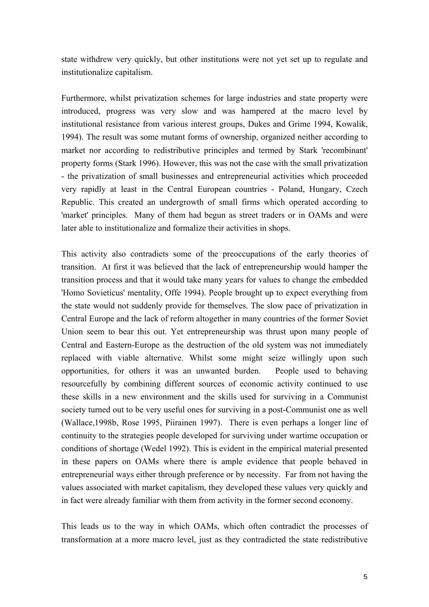state withdrew very quickly, but other institutions were not yet set up to regulate and institutionalize capitalism.

Furthermore, whilst privatization schemes for large industries and state property were introduced, progress was very slow and was hampered at the macro level by institutional resistance from various interest groups, Dukes and Grime 1994, Kowalik, 1994). The result was some mutant forms of ownership, organized neither according to market nor according to redistributive principles and termed by Stark 'recombinant' property forms (Stark 1996). However, this was not the case with the small privatization - the privatization of small businesses and entrepreneurial activities which proceeded very rapidly at least in the Central European countries - Poland, Hungary, Czech Republic. This created an undergrowth of small firms which operated according to 'market' principles. Many of them had begun as street traders or in OAMs and were later able to institutionalize and formalize their activities in shops.

This activity also contradicts some of the preoccupations of the early theories of transition. At first it was believed that the lack of entrepreneurship would hamper the transition process and that it would take many years for values to change the embedded 'Homo Sovieticus' mentality, Offe 1994). People brought up to expect everything from the state would not suddenly provide for themselves. The slow pace of privatization in Central Europe and the lack of reform altogether in many countries of the former Soviet Union seem to bear this out. Yet entrepreneurship was thrust upon many people of Central and Eastern-Europe as the destruction of the old system was not immediately replaced with viable alternative. Whilst some might seize willingly upon such opportunities, for others it was an unwanted burden. People used to behaving resourcefully by combining different sources of economic activity continued to use these skills in a new environment and the skills used for surviving in a Communist society turned out to be very useful ones for surviving in a post-Communist one as well (Wallace,1998b, Rose 1995, Piirainen 1997). There is even perhaps a longer line of continuity to the strategies people developed for surviving under wartime occupation or conditions of shortage (Wedel 1992). This is evident in the empirical material presented in these papers on OAMs where there is ample evidence that people behaved in entrepreneurial ways either through preference or by necessity. Far from not having the values associated with market capitalism, they developed these values very quickly and in fact were already familiar with them from activity in the former second economy.

This leads us to the way in which OAMs, which often contradict the processes of transformation at a more macro level, just as they contradicted the state redistributive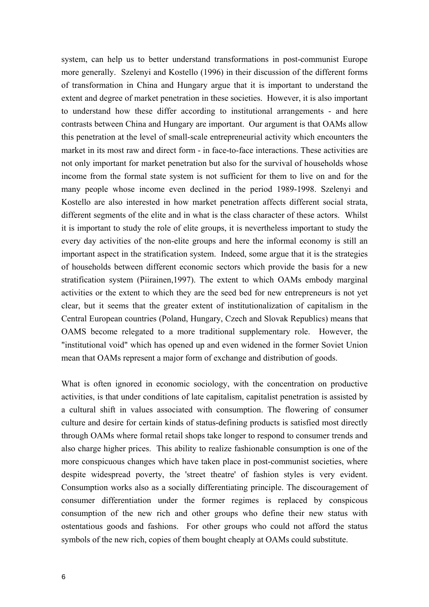system, can help us to better understand transformations in post-communist Europe more generally. Szelenyi and Kostello (1996) in their discussion of the different forms of transformation in China and Hungary argue that it is important to understand the extent and degree of market penetration in these societies. However, it is also important to understand how these differ according to institutional arrangements - and here contrasts between China and Hungary are important. Our argument is that OAMs allow this penetration at the level of small-scale entrepreneurial activity which encounters the market in its most raw and direct form - in face-to-face interactions. These activities are not only important for market penetration but also for the survival of households whose income from the formal state system is not sufficient for them to live on and for the many people whose income even declined in the period 1989-1998. Szelenyi and Kostello are also interested in how market penetration affects different social strata, different segments of the elite and in what is the class character of these actors. Whilst it is important to study the role of elite groups, it is nevertheless important to study the every day activities of the non-elite groups and here the informal economy is still an important aspect in the stratification system. Indeed, some argue that it is the strategies of households between different economic sectors which provide the basis for a new stratification system (Piirainen,1997). The extent to which OAMs embody marginal activities or the extent to which they are the seed bed for new entrepreneurs is not yet clear, but it seems that the greater extent of institutionalization of capitalism in the Central European countries (Poland, Hungary, Czech and Slovak Republics) means that OAMS become relegated to a more traditional supplementary role. However, the "institutional void" which has opened up and even widened in the former Soviet Union mean that OAMs represent a major form of exchange and distribution of goods.

What is often ignored in economic sociology, with the concentration on productive activities, is that under conditions of late capitalism, capitalist penetration is assisted by a cultural shift in values associated with consumption. The flowering of consumer culture and desire for certain kinds of status-defining products is satisfied most directly through OAMs where formal retail shops take longer to respond to consumer trends and also charge higher prices. This ability to realize fashionable consumption is one of the more conspicuous changes which have taken place in post-communist societies, where despite widespread poverty, the 'street theatre' of fashion styles is very evident. Consumption works also as a socially differentiating principle. The discouragement of consumer differentiation under the former regimes is replaced by conspicous consumption of the new rich and other groups who define their new status with ostentatious goods and fashions. For other groups who could not afford the status symbols of the new rich, copies of them bought cheaply at OAMs could substitute.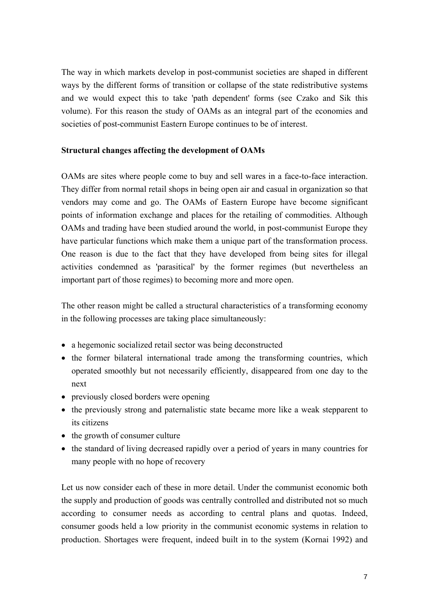The way in which markets develop in post-communist societies are shaped in different ways by the different forms of transition or collapse of the state redistributive systems and we would expect this to take 'path dependent' forms (see Czako and Sik this volume). For this reason the study of OAMs as an integral part of the economies and societies of post-communist Eastern Europe continues to be of interest.

## **Structural changes affecting the development of OAMs**

OAMs are sites where people come to buy and sell wares in a face-to-face interaction. They differ from normal retail shops in being open air and casual in organization so that vendors may come and go. The OAMs of Eastern Europe have become significant points of information exchange and places for the retailing of commodities. Although OAMs and trading have been studied around the world, in post-communist Europe they have particular functions which make them a unique part of the transformation process. One reason is due to the fact that they have developed from being sites for illegal activities condemned as 'parasitical' by the former regimes (but nevertheless an important part of those regimes) to becoming more and more open.

The other reason might be called a structural characteristics of a transforming economy in the following processes are taking place simultaneously:

- a hegemonic socialized retail sector was being deconstructed
- the former bilateral international trade among the transforming countries, which operated smoothly but not necessarily efficiently, disappeared from one day to the next
- previously closed borders were opening
- the previously strong and paternalistic state became more like a weak stepparent to its citizens
- the growth of consumer culture
- the standard of living decreased rapidly over a period of years in many countries for many people with no hope of recovery

Let us now consider each of these in more detail. Under the communist economic both the supply and production of goods was centrally controlled and distributed not so much according to consumer needs as according to central plans and quotas. Indeed, consumer goods held a low priority in the communist economic systems in relation to production. Shortages were frequent, indeed built in to the system (Kornai 1992) and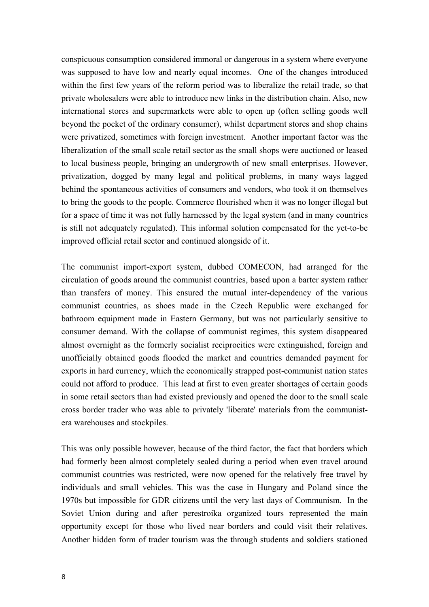conspicuous consumption considered immoral or dangerous in a system where everyone was supposed to have low and nearly equal incomes. One of the changes introduced within the first few years of the reform period was to liberalize the retail trade, so that private wholesalers were able to introduce new links in the distribution chain. Also, new international stores and supermarkets were able to open up (often selling goods well beyond the pocket of the ordinary consumer), whilst department stores and shop chains were privatized, sometimes with foreign investment. Another important factor was the liberalization of the small scale retail sector as the small shops were auctioned or leased to local business people, bringing an undergrowth of new small enterprises. However, privatization, dogged by many legal and political problems, in many ways lagged behind the spontaneous activities of consumers and vendors, who took it on themselves to bring the goods to the people. Commerce flourished when it was no longer illegal but for a space of time it was not fully harnessed by the legal system (and in many countries is still not adequately regulated). This informal solution compensated for the yet-to-be improved official retail sector and continued alongside of it.

The communist import-export system, dubbed COMECON, had arranged for the circulation of goods around the communist countries, based upon a barter system rather than transfers of money. This ensured the mutual inter-dependency of the various communist countries, as shoes made in the Czech Republic were exchanged for bathroom equipment made in Eastern Germany, but was not particularly sensitive to consumer demand. With the collapse of communist regimes, this system disappeared almost overnight as the formerly socialist reciprocities were extinguished, foreign and unofficially obtained goods flooded the market and countries demanded payment for exports in hard currency, which the economically strapped post-communist nation states could not afford to produce. This lead at first to even greater shortages of certain goods in some retail sectors than had existed previously and opened the door to the small scale cross border trader who was able to privately 'liberate' materials from the communistera warehouses and stockpiles.

This was only possible however, because of the third factor, the fact that borders which had formerly been almost completely sealed during a period when even travel around communist countries was restricted, were now opened for the relatively free travel by individuals and small vehicles. This was the case in Hungary and Poland since the 1970s but impossible for GDR citizens until the very last days of Communism. In the Soviet Union during and after perestroika organized tours represented the main opportunity except for those who lived near borders and could visit their relatives. Another hidden form of trader tourism was the through students and soldiers stationed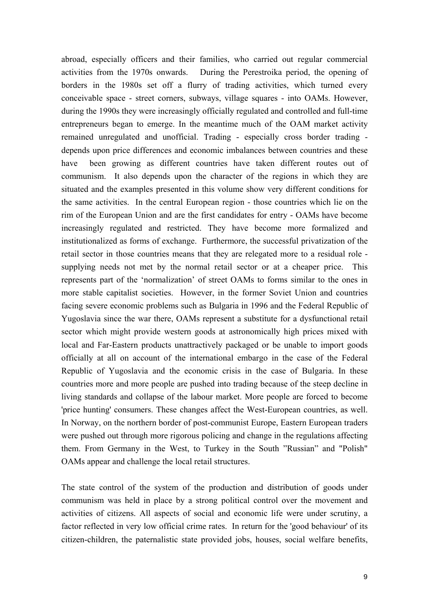abroad, especially officers and their families, who carried out regular commercial activities from the 1970s onwards. During the Perestroika period, the opening of borders in the 1980s set off a flurry of trading activities, which turned every conceivable space - street corners, subways, village squares - into OAMs. However, during the 1990s they were increasingly officially regulated and controlled and full-time entrepreneurs began to emerge. In the meantime much of the OAM market activity remained unregulated and unofficial. Trading - especially cross border trading depends upon price differences and economic imbalances between countries and these have been growing as different countries have taken different routes out of communism. It also depends upon the character of the regions in which they are situated and the examples presented in this volume show very different conditions for the same activities. In the central European region - those countries which lie on the rim of the European Union and are the first candidates for entry - OAMs have become increasingly regulated and restricted. They have become more formalized and institutionalized as forms of exchange. Furthermore, the successful privatization of the retail sector in those countries means that they are relegated more to a residual role supplying needs not met by the normal retail sector or at a cheaper price. This represents part of the 'normalization' of street OAMs to forms similar to the ones in more stable capitalist societies. However, in the former Soviet Union and countries facing severe economic problems such as Bulgaria in 1996 and the Federal Republic of Yugoslavia since the war there, OAMs represent a substitute for a dysfunctional retail sector which might provide western goods at astronomically high prices mixed with local and Far-Eastern products unattractively packaged or be unable to import goods officially at all on account of the international embargo in the case of the Federal Republic of Yugoslavia and the economic crisis in the case of Bulgaria. In these countries more and more people are pushed into trading because of the steep decline in living standards and collapse of the labour market. More people are forced to become 'price hunting' consumers. These changes affect the West-European countries, as well. In Norway, on the northern border of post-communist Europe, Eastern European traders were pushed out through more rigorous policing and change in the regulations affecting them. From Germany in the West, to Turkey in the South "Russian" and "Polish" OAMs appear and challenge the local retail structures.

The state control of the system of the production and distribution of goods under communism was held in place by a strong political control over the movement and activities of citizens. All aspects of social and economic life were under scrutiny, a factor reflected in very low official crime rates. In return for the 'good behaviour' of its citizen-children, the paternalistic state provided jobs, houses, social welfare benefits,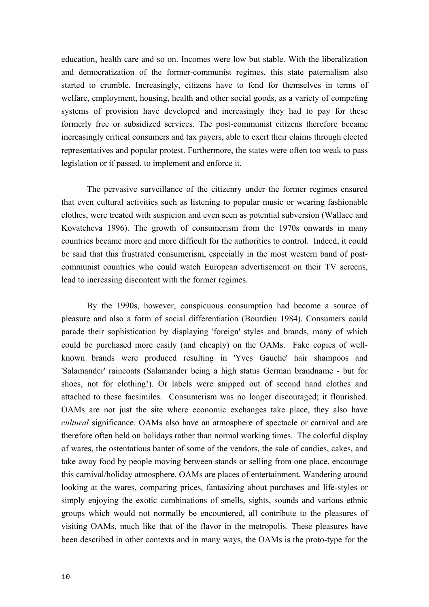education, health care and so on. Incomes were low but stable. With the liberalization and democratization of the former-communist regimes, this state paternalism also started to crumble. Increasingly, citizens have to fend for themselves in terms of welfare, employment, housing, health and other social goods, as a variety of competing systems of provision have developed and increasingly they had to pay for these formerly free or subsidized services. The post-communist citizens therefore became increasingly critical consumers and tax payers, able to exert their claims through elected representatives and popular protest. Furthermore, the states were often too weak to pass legislation or if passed, to implement and enforce it.

The pervasive surveillance of the citizenry under the former regimes ensured that even cultural activities such as listening to popular music or wearing fashionable clothes, were treated with suspicion and even seen as potential subversion (Wallace and Kovatcheva 1996). The growth of consumerism from the 1970s onwards in many countries became more and more difficult for the authorities to control. Indeed, it could be said that this frustrated consumerism, especially in the most western band of postcommunist countries who could watch European advertisement on their TV screens, lead to increasing discontent with the former regimes.

By the 1990s, however, conspicuous consumption had become a source of pleasure and also a form of social differentiation (Bourdieu 1984). Consumers could parade their sophistication by displaying 'foreign' styles and brands, many of which could be purchased more easily (and cheaply) on the OAMs. Fake copies of wellknown brands were produced resulting in 'Yves Gauche' hair shampoos and 'Salamander' raincoats (Salamander being a high status German brandname - but for shoes, not for clothing!). Or labels were snipped out of second hand clothes and attached to these facsimiles. Consumerism was no longer discouraged; it flourished. OAMs are not just the site where economic exchanges take place, they also have *cultural* significance. OAMs also have an atmosphere of spectacle or carnival and are therefore often held on holidays rather than normal working times. The colorful display of wares, the ostentatious banter of some of the vendors, the sale of candies, cakes, and take away food by people moving between stands or selling from one place, encourage this carnival/holiday atmosphere. OAMs are places of entertainment. Wandering around looking at the wares, comparing prices, fantasizing about purchases and life-styles or simply enjoying the exotic combinations of smells, sights, sounds and various ethnic groups which would not normally be encountered, all contribute to the pleasures of visiting OAMs, much like that of the flavor in the metropolis. These pleasures have been described in other contexts and in many ways, the OAMs is the proto-type for the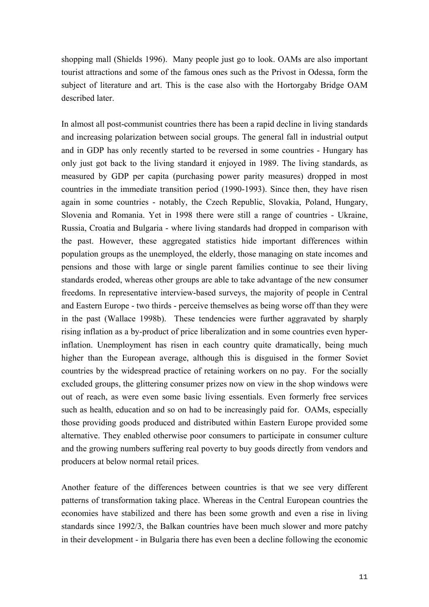shopping mall (Shields 1996). Many people just go to look. OAMs are also important tourist attractions and some of the famous ones such as the Privost in Odessa, form the subject of literature and art. This is the case also with the Hortorgaby Bridge OAM described later.

In almost all post-communist countries there has been a rapid decline in living standards and increasing polarization between social groups. The general fall in industrial output and in GDP has only recently started to be reversed in some countries - Hungary has only just got back to the living standard it enjoyed in 1989. The living standards, as measured by GDP per capita (purchasing power parity measures) dropped in most countries in the immediate transition period (1990-1993). Since then, they have risen again in some countries - notably, the Czech Republic, Slovakia, Poland, Hungary, Slovenia and Romania. Yet in 1998 there were still a range of countries - Ukraine, Russia, Croatia and Bulgaria - where living standards had dropped in comparison with the past. However, these aggregated statistics hide important differences within population groups as the unemployed, the elderly, those managing on state incomes and pensions and those with large or single parent families continue to see their living standards eroded, whereas other groups are able to take advantage of the new consumer freedoms. In representative interview-based surveys, the majority of people in Central and Eastern Europe - two thirds - perceive themselves as being worse off than they were in the past (Wallace 1998b). These tendencies were further aggravated by sharply rising inflation as a by-product of price liberalization and in some countries even hyperinflation. Unemployment has risen in each country quite dramatically, being much higher than the European average, although this is disguised in the former Soviet countries by the widespread practice of retaining workers on no pay. For the socially excluded groups, the glittering consumer prizes now on view in the shop windows were out of reach, as were even some basic living essentials. Even formerly free services such as health, education and so on had to be increasingly paid for. OAMs, especially those providing goods produced and distributed within Eastern Europe provided some alternative. They enabled otherwise poor consumers to participate in consumer culture and the growing numbers suffering real poverty to buy goods directly from vendors and producers at below normal retail prices.

Another feature of the differences between countries is that we see very different patterns of transformation taking place. Whereas in the Central European countries the economies have stabilized and there has been some growth and even a rise in living standards since 1992/3, the Balkan countries have been much slower and more patchy in their development - in Bulgaria there has even been a decline following the economic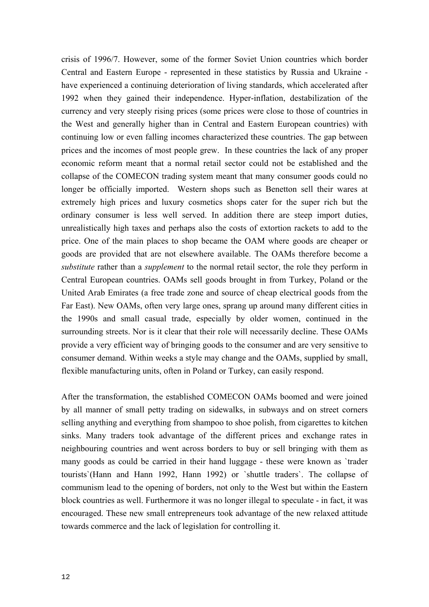crisis of 1996/7. However, some of the former Soviet Union countries which border Central and Eastern Europe - represented in these statistics by Russia and Ukraine have experienced a continuing deterioration of living standards, which accelerated after 1992 when they gained their independence. Hyper-inflation, destabilization of the currency and very steeply rising prices (some prices were close to those of countries in the West and generally higher than in Central and Eastern European countries) with continuing low or even falling incomes characterized these countries. The gap between prices and the incomes of most people grew. In these countries the lack of any proper economic reform meant that a normal retail sector could not be established and the collapse of the COMECON trading system meant that many consumer goods could no longer be officially imported. Western shops such as Benetton sell their wares at extremely high prices and luxury cosmetics shops cater for the super rich but the ordinary consumer is less well served. In addition there are steep import duties, unrealistically high taxes and perhaps also the costs of extortion rackets to add to the price. One of the main places to shop became the OAM where goods are cheaper or goods are provided that are not elsewhere available. The OAMs therefore become a *substitute* rather than a *supplement* to the normal retail sector, the role they perform in Central European countries. OAMs sell goods brought in from Turkey, Poland or the United Arab Emirates (a free trade zone and source of cheap electrical goods from the Far East). New OAMs, often very large ones, sprang up around many different cities in the 1990s and small casual trade, especially by older women, continued in the surrounding streets. Nor is it clear that their role will necessarily decline. These OAMs provide a very efficient way of bringing goods to the consumer and are very sensitive to consumer demand. Within weeks a style may change and the OAMs, supplied by small, flexible manufacturing units, often in Poland or Turkey, can easily respond.

After the transformation, the established COMECON OAMs boomed and were joined by all manner of small petty trading on sidewalks, in subways and on street corners selling anything and everything from shampoo to shoe polish, from cigarettes to kitchen sinks. Many traders took advantage of the different prices and exchange rates in neighbouring countries and went across borders to buy or sell bringing with them as many goods as could be carried in their hand luggage - these were known as `trader tourists`(Hann and Hann 1992, Hann 1992) or `shuttle traders`. The collapse of communism lead to the opening of borders, not only to the West but within the Eastern block countries as well. Furthermore it was no longer illegal to speculate - in fact, it was encouraged. These new small entrepreneurs took advantage of the new relaxed attitude towards commerce and the lack of legislation for controlling it.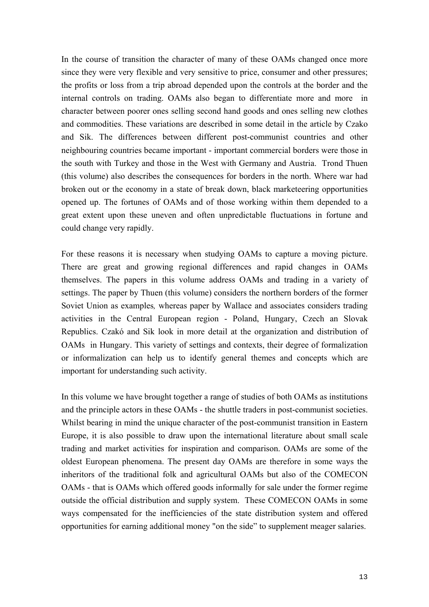In the course of transition the character of many of these OAMs changed once more since they were very flexible and very sensitive to price, consumer and other pressures; the profits or loss from a trip abroad depended upon the controls at the border and the internal controls on trading. OAMs also began to differentiate more and more in character between poorer ones selling second hand goods and ones selling new clothes and commodities. These variations are described in some detail in the article by Czako and Sik. The differences between different post-communist countries and other neighbouring countries became important - important commercial borders were those in the south with Turkey and those in the West with Germany and Austria. Trond Thuen (this volume) also describes the consequences for borders in the north. Where war had broken out or the economy in a state of break down, black marketeering opportunities opened up. The fortunes of OAMs and of those working within them depended to a great extent upon these uneven and often unpredictable fluctuations in fortune and could change very rapidly.

For these reasons it is necessary when studying OAMs to capture a moving picture. There are great and growing regional differences and rapid changes in OAMs themselves. The papers in this volume address OAMs and trading in a variety of settings. The paper by Thuen (this volume) considers the northern borders of the former Soviet Union as examples*,* whereas paper by Wallace and associates considers trading activities in the Central European region - Poland, Hungary, Czech an Slovak Republics. Czakó and Sik look in more detail at the organization and distribution of OAMs in Hungary. This variety of settings and contexts, their degree of formalization or informalization can help us to identify general themes and concepts which are important for understanding such activity.

In this volume we have brought together a range of studies of both OAMs as institutions and the principle actors in these OAMs - the shuttle traders in post-communist societies. Whilst bearing in mind the unique character of the post-communist transition in Eastern Europe, it is also possible to draw upon the international literature about small scale trading and market activities for inspiration and comparison. OAMs are some of the oldest European phenomena. The present day OAMs are therefore in some ways the inheritors of the traditional folk and agricultural OAMs but also of the COMECON OAMs - that is OAMs which offered goods informally for sale under the former regime outside the official distribution and supply system. These COMECON OAMs in some ways compensated for the inefficiencies of the state distribution system and offered opportunities for earning additional money "on the side" to supplement meager salaries.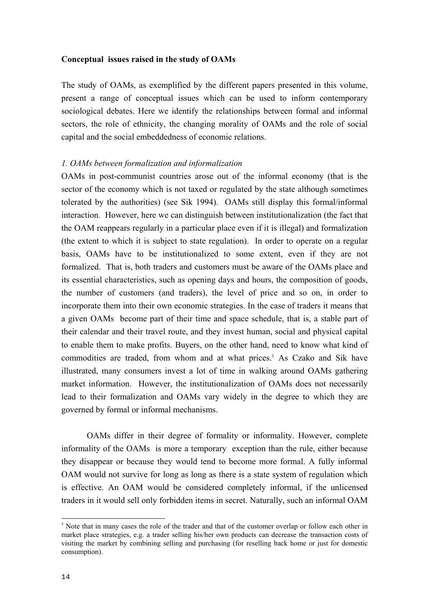#### **Conceptual issues raised in the study of OAMs**

The study of OAMs, as exemplified by the different papers presented in this volume, present a range of conceptual issues which can be used to inform contemporary sociological debates. Here we identify the relationships between formal and informal sectors, the role of ethnicity, the changing morality of OAMs and the role of social capital and the social embeddedness of economic relations.

### *1. OAMs between formalization and informalization*

OAMs in post-communist countries arose out of the informal economy (that is the sector of the economy which is not taxed or regulated by the state although sometimes tolerated by the authorities) (see Sik 1994). OAMs still display this formal/informal interaction. However, here we can distinguish between institutionalization (the fact that the OAM reappears regularly in a particular place even if it is illegal) and formalization (the extent to which it is subject to state regulation). In order to operate on a regular basis, OAMs have to be institutionalized to some extent, even if they are not formalized. That is, both traders and customers must be aware of the OAMs place and its essential characteristics, such as opening days and hours, the composition of goods, the number of customers (and traders), the level of price and so on, in order to incorporate them into their own economic strategies. In the case of traders it means that a given OAMs become part of their time and space schedule, that is, a stable part of their calendar and their travel route, and they invest human, social and physical capital to enable them to make profits. Buyers, on the other hand, need to know what kind of commoditiesare traded, from whom and at what prices.<sup>1</sup> As Czako and Sik have illustrated, many consumers invest a lot of time in walking around OAMs gathering market information. However, the institutionalization of OAMs does not necessarily lead to their formalization and OAMs vary widely in the degree to which they are governed by formal or informal mechanisms.

OAMs differ in their degree of formality or informality. However, complete informality of the OAMs is more a temporary exception than the rule, either because they disappear or because they would tend to become more formal. A fully informal OAM would not survive for long as long as there is a state system of regulation which is effective. An OAM would be considered completely informal, if the unlicensed traders in it would sell only forbidden items in secret. Naturally, such an informal OAM

l

<span id="page-13-0"></span><sup>&</sup>lt;sup>1</sup> Note that in many cases the role of the trader and that of the customer overlap or follow each other in market place strategies, e.g. a trader selling his/her own products can decrease the transaction costs of visiting the market by combining selling and purchasing (for reselling back home or just for domestic consumption).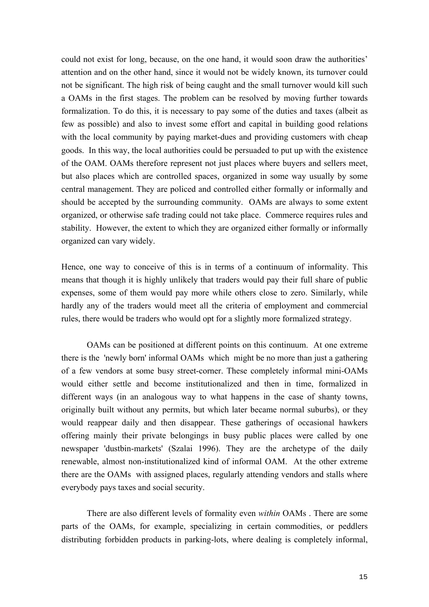could not exist for long, because, on the one hand, it would soon draw the authorities' attention and on the other hand, since it would not be widely known, its turnover could not be significant. The high risk of being caught and the small turnover would kill such a OAMs in the first stages. The problem can be resolved by moving further towards formalization. To do this, it is necessary to pay some of the duties and taxes (albeit as few as possible) and also to invest some effort and capital in building good relations with the local community by paying market-dues and providing customers with cheap goods. In this way, the local authorities could be persuaded to put up with the existence of the OAM. OAMs therefore represent not just places where buyers and sellers meet, but also places which are controlled spaces, organized in some way usually by some central management. They are policed and controlled either formally or informally and should be accepted by the surrounding community. OAMs are always to some extent organized, or otherwise safe trading could not take place. Commerce requires rules and stability. However, the extent to which they are organized either formally or informally organized can vary widely.

Hence, one way to conceive of this is in terms of a continuum of informality. This means that though it is highly unlikely that traders would pay their full share of public expenses, some of them would pay more while others close to zero. Similarly, while hardly any of the traders would meet all the criteria of employment and commercial rules, there would be traders who would opt for a slightly more formalized strategy.

OAMs can be positioned at different points on this continuum. At one extreme there is the 'newly born' informal OAMs which might be no more than just a gathering of a few vendors at some busy street-corner. These completely informal mini-OAMs would either settle and become institutionalized and then in time, formalized in different ways (in an analogous way to what happens in the case of shanty towns, originally built without any permits, but which later became normal suburbs), or they would reappear daily and then disappear. These gatherings of occasional hawkers offering mainly their private belongings in busy public places were called by one newspaper 'dustbin-markets' (Szalai 1996). They are the archetype of the daily renewable, almost non-institutionalized kind of informal OAM. At the other extreme there are the OAMs with assigned places, regularly attending vendors and stalls where everybody pays taxes and social security.

There are also different levels of formality even *within* OAMs . There are some parts of the OAMs, for example, specializing in certain commodities, or peddlers distributing forbidden products in parking-lots, where dealing is completely informal,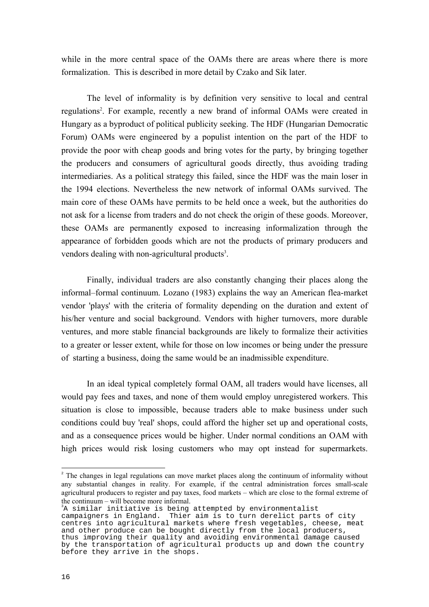while in the more central space of the OAMs there are areas where there is more formalization. This is described in more detail by Czako and Sik later.

The level of informality is by definition very sensitive to local and central regulations<sup>[2](#page-15-0)</sup>. For example, recently a new brand of informal OAMs were created in Hungary as a byproduct of political publicity seeking. The HDF (Hungarian Democratic Forum) OAMs were engineered by a populist intention on the part of the HDF to provide the poor with cheap goods and bring votes for the party, by bringing together the producers and consumers of agricultural goods directly, thus avoiding trading intermediaries. As a political strategy this failed, since the HDF was the main loser in the 1994 elections. Nevertheless the new network of informal OAMs survived. The main core of these OAMs have permits to be held once a week, but the authorities do not ask for a license from traders and do not check the origin of these goods. Moreover, these OAMs are permanently exposed to increasing informalization through the appearance of forbidden goods which are not the products of primary producers and vendors dealing with non-agricultural products<sup>[3](#page-15-1)</sup>.

Finally, individual traders are also constantly changing their places along the informal–formal continuum. Lozano (1983) explains the way an American flea-market vendor 'plays' with the criteria of formality depending on the duration and extent of his/her venture and social background. Vendors with higher turnovers, more durable ventures, and more stable financial backgrounds are likely to formalize their activities to a greater or lesser extent, while for those on low incomes or being under the pressure of starting a business, doing the same would be an inadmissible expenditure.

In an ideal typical completely formal OAM, all traders would have licenses, all would pay fees and taxes, and none of them would employ unregistered workers. This situation is close to impossible, because traders able to make business under such conditions could buy 'real' shops, could afford the higher set up and operational costs, and as a consequence prices would be higher. Under normal conditions an OAM with high prices would risk losing customers who may opt instead for supermarkets.

<span id="page-15-1"></span> ${}^{3}$ A similar initiative is being attempted by environmentalist

l

<span id="page-15-0"></span><sup>&</sup>lt;sup>2</sup> The changes in legal regulations can move market places along the continuum of informality without any substantial changes in reality. For example, if the central administration forces small-scale agricultural producers to register and pay taxes, food markets – which are close to the formal extreme of the continuum – will become more informal.

campaigners in England. Thier aim is to turn derelict parts of city centres into agricultural markets where fresh vegetables, cheese, meat and other produce can be bought directly from the local producers, thus improving their quality and avoiding environmental damage caused by the transportation of agricultural products up and down the country before they arrive in the shops.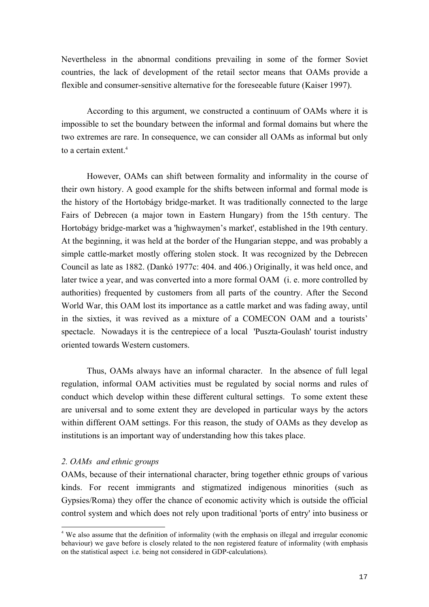Nevertheless in the abnormal conditions prevailing in some of the former Soviet countries, the lack of development of the retail sector means that OAMs provide a flexible and consumer-sensitive alternative for the foreseeable future (Kaiser 1997).

According to this argument, we constructed a continuum of OAMs where it is impossible to set the boundary between the informal and formal domains but where the two extremes are rare. In consequence, we can consider all OAMs as informal but only to a certain extent.<sup>[4](#page-16-0)</sup>

However, OAMs can shift between formality and informality in the course of their own history. A good example for the shifts between informal and formal mode is the history of the Hortobágy bridge-market. It was traditionally connected to the large Fairs of Debrecen (a major town in Eastern Hungary) from the 15th century. The Hortobágy bridge-market was a 'highwaymen's market', established in the 19th century. At the beginning, it was held at the border of the Hungarian steppe, and was probably a simple cattle-market mostly offering stolen stock. It was recognized by the Debrecen Council as late as 1882. (Dankó 1977c: 404. and 406.) Originally, it was held once, and later twice a year, and was converted into a more formal OAM (i. e. more controlled by authorities) frequented by customers from all parts of the country. After the Second World War, this OAM lost its importance as a cattle market and was fading away, until in the sixties, it was revived as a mixture of a COMECON OAM and a tourists' spectacle. Nowadays it is the centrepiece of a local 'Puszta-Goulash' tourist industry oriented towards Western customers.

Thus, OAMs always have an informal character. In the absence of full legal regulation, informal OAM activities must be regulated by social norms and rules of conduct which develop within these different cultural settings. To some extent these are universal and to some extent they are developed in particular ways by the actors within different OAM settings. For this reason, the study of OAMs as they develop as institutions is an important way of understanding how this takes place.

## *2. OAMs and ethnic groups*

l

OAMs, because of their international character, bring together ethnic groups of various kinds. For recent immigrants and stigmatized indigenous minorities (such as Gypsies/Roma) they offer the chance of economic activity which is outside the official control system and which does not rely upon traditional 'ports of entry' into business or

<span id="page-16-0"></span><sup>4</sup> We also assume that the definition of informality (with the emphasis on illegal and irregular economic behaviour) we gave before is closely related to the non registered feature of informality (with emphasis on the statistical aspect i.e. being not considered in GDP-calculations).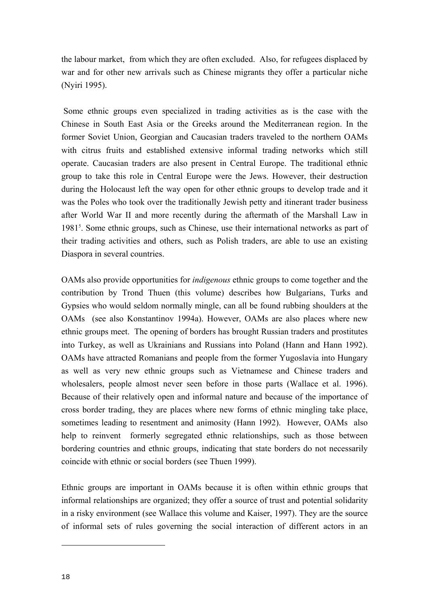<span id="page-17-0"></span>the labour market, from which they are often excluded. Also, for refugees displaced by war and for other new arrivals such as Chinese migrants they offer a particular niche (Nyiri 1995).

Some ethnic groups even specialized in trading activities as is the case with the Chinese in South East Asia or the Greeks around the Mediterranean region. In the former Soviet Union, Georgian and Caucasian traders traveled to the northern OAMs with citrus fruits and established extensive informal trading networks which still operate. Caucasian traders are also present in Central Europe. The traditional ethnic group to take this role in Central Europe were the Jews. However, their destruction during the Holocaust left the way open for other ethnic groups to develop trade and it was the Poles who took over the traditionally Jewish petty and itinerant trader business after World War II and more recently during the aftermath of the Marshall Law in 1981<sup>5</sup>[.](#page-17-0) Some ethnic groups, such as Chinese, use their international networks as part of their trading activities and others, such as Polish traders, are able to use an existing Diaspora in several countries.

OAMs also provide opportunities for *indigenous* ethnic groups to come together and the contribution by Trond Thuen (this volume) describes how Bulgarians, Turks and Gypsies who would seldom normally mingle, can all be found rubbing shoulders at the OAMs (see also Konstantinov 1994a). However, OAMs are also places where new ethnic groups meet. The opening of borders has brought Russian traders and prostitutes into Turkey, as well as Ukrainians and Russians into Poland (Hann and Hann 1992). OAMs have attracted Romanians and people from the former Yugoslavia into Hungary as well as very new ethnic groups such as Vietnamese and Chinese traders and wholesalers, people almost never seen before in those parts (Wallace et al. 1996). Because of their relatively open and informal nature and because of the importance of cross border trading, they are places where new forms of ethnic mingling take place, sometimes leading to resentment and animosity (Hann 1992). However, OAMs also help to reinvent formerly segregated ethnic relationships, such as those between bordering countries and ethnic groups, indicating that state borders do not necessarily coincide with ethnic or social borders (see Thuen 1999).

Ethnic groups are important in OAMs because it is often within ethnic groups that informal relationships are organized; they offer a source of trust and potential solidarity in a risky environment (see Wallace this volume and Kaiser, 1997). They are the source of informal sets of rules governing the social interaction of different actors in an

l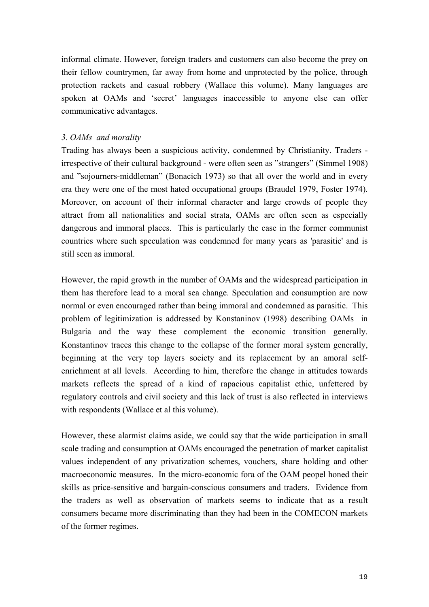informal climate. However, foreign traders and customers can also become the prey on their fellow countrymen, far away from home and unprotected by the police, through protection rackets and casual robbery (Wallace this volume). Many languages are spoken at OAMs and 'secret' languages inaccessible to anyone else can offer communicative advantages.

# *3. OAMs and morality*

Trading has always been a suspicious activity, condemned by Christianity. Traders irrespective of their cultural background - were often seen as "strangers" (Simmel 1908) and "sojourners-middleman" (Bonacich 1973) so that all over the world and in every era they were one of the most hated occupational groups (Braudel 1979, Foster 1974). Moreover, on account of their informal character and large crowds of people they attract from all nationalities and social strata, OAMs are often seen as especially dangerous and immoral places. This is particularly the case in the former communist countries where such speculation was condemned for many years as 'parasitic' and is still seen as immoral.

However, the rapid growth in the number of OAMs and the widespread participation in them has therefore lead to a moral sea change. Speculation and consumption are now normal or even encouraged rather than being immoral and condemned as parasitic. This problem of legitimization is addressed by Konstaninov (1998) describing OAMs in Bulgaria and the way these complement the economic transition generally. Konstantinov traces this change to the collapse of the former moral system generally, beginning at the very top layers society and its replacement by an amoral selfenrichment at all levels. According to him, therefore the change in attitudes towards markets reflects the spread of a kind of rapacious capitalist ethic, unfettered by regulatory controls and civil society and this lack of trust is also reflected in interviews with respondents (Wallace et al this volume).

However, these alarmist claims aside, we could say that the wide participation in small scale trading and consumption at OAMs encouraged the penetration of market capitalist values independent of any privatization schemes, vouchers, share holding and other macroeconomic measures. In the micro-economic fora of the OAM peopel honed their skills as price-sensitive and bargain-conscious consumers and traders. Evidence from the traders as well as observation of markets seems to indicate that as a result consumers became more discriminating than they had been in the COMECON markets of the former regimes.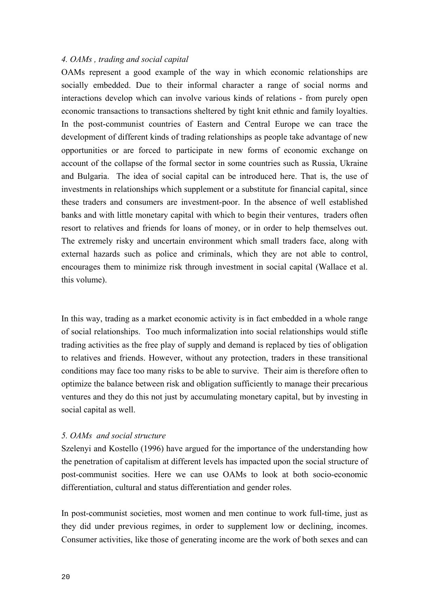## *4. OAMs , trading and social capital*

OAMs represent a good example of the way in which economic relationships are socially embedded. Due to their informal character a range of social norms and interactions develop which can involve various kinds of relations - from purely open economic transactions to transactions sheltered by tight knit ethnic and family loyalties. In the post-communist countries of Eastern and Central Europe we can trace the development of different kinds of trading relationships as people take advantage of new opportunities or are forced to participate in new forms of economic exchange on account of the collapse of the formal sector in some countries such as Russia, Ukraine and Bulgaria. The idea of social capital can be introduced here. That is, the use of investments in relationships which supplement or a substitute for financial capital, since these traders and consumers are investment-poor. In the absence of well established banks and with little monetary capital with which to begin their ventures, traders often resort to relatives and friends for loans of money, or in order to help themselves out. The extremely risky and uncertain environment which small traders face, along with external hazards such as police and criminals, which they are not able to control, encourages them to minimize risk through investment in social capital (Wallace et al. this volume).

In this way, trading as a market economic activity is in fact embedded in a whole range of social relationships. Too much informalization into social relationships would stifle trading activities as the free play of supply and demand is replaced by ties of obligation to relatives and friends. However, without any protection, traders in these transitional conditions may face too many risks to be able to survive. Their aim is therefore often to optimize the balance between risk and obligation sufficiently to manage their precarious ventures and they do this not just by accumulating monetary capital, but by investing in social capital as well.

### *5. OAMs and social structure*

Szelenyi and Kostello (1996) have argued for the importance of the understanding how the penetration of capitalism at different levels has impacted upon the social structure of post-communist socities. Here we can use OAMs to look at both socio-economic differentiation, cultural and status differentiation and gender roles.

In post-communist societies, most women and men continue to work full-time, just as they did under previous regimes, in order to supplement low or declining, incomes. Consumer activities, like those of generating income are the work of both sexes and can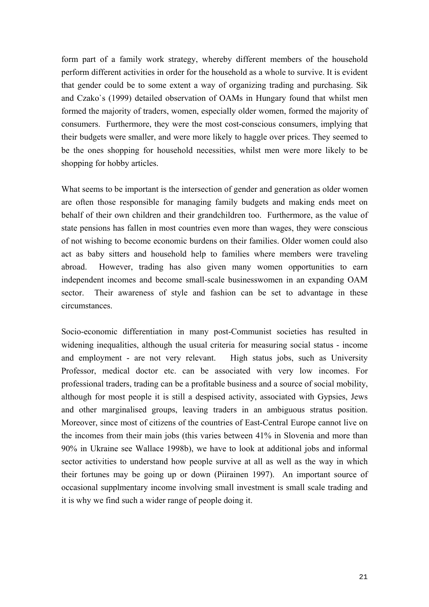form part of a family work strategy, whereby different members of the household perform different activities in order for the household as a whole to survive. It is evident that gender could be to some extent a way of organizing trading and purchasing. Sik and Czako`s (1999) detailed observation of OAMs in Hungary found that whilst men formed the majority of traders, women, especially older women, formed the majority of consumers. Furthermore, they were the most cost-conscious consumers, implying that their budgets were smaller, and were more likely to haggle over prices. They seemed to be the ones shopping for household necessities, whilst men were more likely to be shopping for hobby articles.

What seems to be important is the intersection of gender and generation as older women are often those responsible for managing family budgets and making ends meet on behalf of their own children and their grandchildren too. Furthermore, as the value of state pensions has fallen in most countries even more than wages, they were conscious of not wishing to become economic burdens on their families. Older women could also act as baby sitters and household help to families where members were traveling abroad. However, trading has also given many women opportunities to earn independent incomes and become small-scale businesswomen in an expanding OAM sector. Their awareness of style and fashion can be set to advantage in these circumstances.

Socio-economic differentiation in many post-Communist societies has resulted in widening inequalities, although the usual criteria for measuring social status - income and employment - are not very relevant. High status jobs, such as University Professor, medical doctor etc. can be associated with very low incomes. For professional traders, trading can be a profitable business and a source of social mobility, although for most people it is still a despised activity, associated with Gypsies, Jews and other marginalised groups, leaving traders in an ambiguous stratus position. Moreover, since most of citizens of the countries of East-Central Europe cannot live on the incomes from their main jobs (this varies between 41% in Slovenia and more than 90% in Ukraine see Wallace 1998b), we have to look at additional jobs and informal sector activities to understand how people survive at all as well as the way in which their fortunes may be going up or down (Piirainen 1997). An important source of occasional supplmentary income involving small investment is small scale trading and it is why we find such a wider range of people doing it.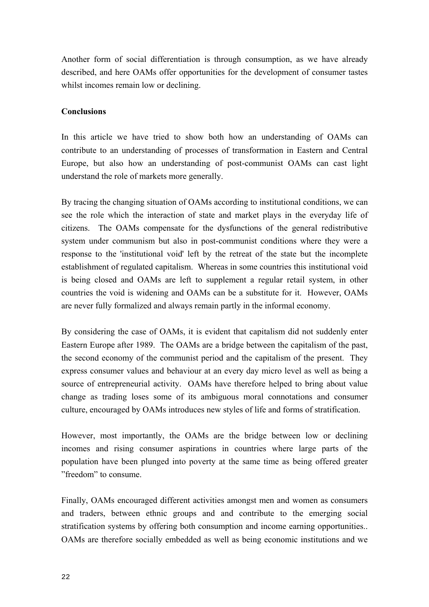Another form of social differentiation is through consumption, as we have already described, and here OAMs offer opportunities for the development of consumer tastes whilst incomes remain low or declining.

## **Conclusions**

In this article we have tried to show both how an understanding of OAMs can contribute to an understanding of processes of transformation in Eastern and Central Europe, but also how an understanding of post-communist OAMs can cast light understand the role of markets more generally.

By tracing the changing situation of OAMs according to institutional conditions, we can see the role which the interaction of state and market plays in the everyday life of citizens. The OAMs compensate for the dysfunctions of the general redistributive system under communism but also in post-communist conditions where they were a response to the 'institutional void' left by the retreat of the state but the incomplete establishment of regulated capitalism. Whereas in some countries this institutional void is being closed and OAMs are left to supplement a regular retail system, in other countries the void is widening and OAMs can be a substitute for it. However, OAMs are never fully formalized and always remain partly in the informal economy.

By considering the case of OAMs, it is evident that capitalism did not suddenly enter Eastern Europe after 1989. The OAMs are a bridge between the capitalism of the past, the second economy of the communist period and the capitalism of the present. They express consumer values and behaviour at an every day micro level as well as being a source of entrepreneurial activity. OAMs have therefore helped to bring about value change as trading loses some of its ambiguous moral connotations and consumer culture, encouraged by OAMs introduces new styles of life and forms of stratification.

However, most importantly, the OAMs are the bridge between low or declining incomes and rising consumer aspirations in countries where large parts of the population have been plunged into poverty at the same time as being offered greater "freedom" to consume.

Finally, OAMs encouraged different activities amongst men and women as consumers and traders, between ethnic groups and and contribute to the emerging social stratification systems by offering both consumption and income earning opportunities.. OAMs are therefore socially embedded as well as being economic institutions and we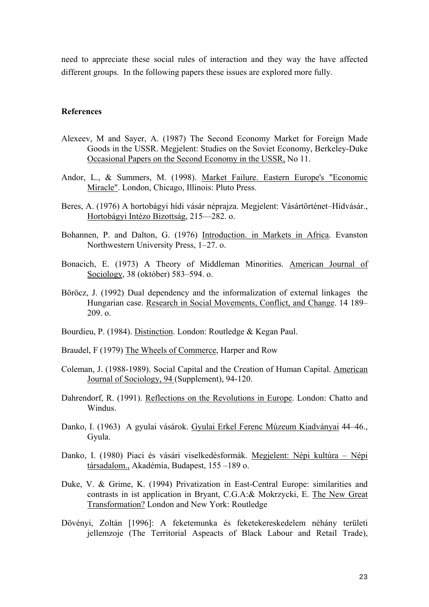need to appreciate these social rules of interaction and they way the have affected different groups. In the following papers these issues are explored more fully.

### **References**

- Alexeev, M and Sayer, A. (1987) The Second Economy Market for Foreign Made Goods in the USSR. Megjelent: Studies on the Soviet Economy, Berkeley-Duke Occasional Papers on the Second Economy in the USSR, No 11.
- Andor, L., & Summers, M. (1998). Market Failure. Eastern Europe's "Economic Miracle". London, Chicago, Illinois: Pluto Press.
- Beres, A. (1976) A hortobágyi hídi vásár néprajza. Megjelent: Vásártörténet–Hídvásár., Hortobágyi Intézo Bizottság, 215—282. o.
- Bohannen, P. and Dalton, G. (1976) Introduction. in Markets in Africa. Evanston Northwestern University Press, 1–27. o.
- Bonacich, E. (1973) A Theory of Middleman Minorities. American Journal of Sociology, 38 (október) 583–594. o.
- Böröcz, J. (1992) Dual dependency and the informalization of external linkages the Hungarian case. Research in Social Movements, Conflict, and Change. 14 189– 209. o.
- Bourdieu, P. (1984). Distinction. London: Routledge & Kegan Paul.
- Braudel, F (1979) The Wheels of Commerce, Harper and Row
- Coleman, J. (1988-1989). Social Capital and the Creation of Human Capital. American Journal of Sociology, 94 (Supplement), 94-120.
- Dahrendorf, R. (1991). Reflections on the Revolutions in Europe. London: Chatto and Windus.
- Danko, I. (1963) A gyulai vásárok. Gyulai Erkel Ferenc Múzeum Kiadványai 44–46., Gyula.
- Danko, I. (1980) Piaci és vásári viselkedésformák. Megjelent: Népi kultúra Népi társadalom., Akadémia, Budapest, 155 –189 o.
- Duke, V. & Grime, K. (1994) Privatization in East-Central Europe: similarities and contrasts in ist application in Bryant, C.G.A:& Mokrzycki, E. The New Great Transformation? London and New York: Routledge
- Dövényi, Zoltán [1996]: A feketemunka és feketekereskedelem néhány területi jellemzoje (The Territorial Aspeacts of Black Labour and Retail Trade),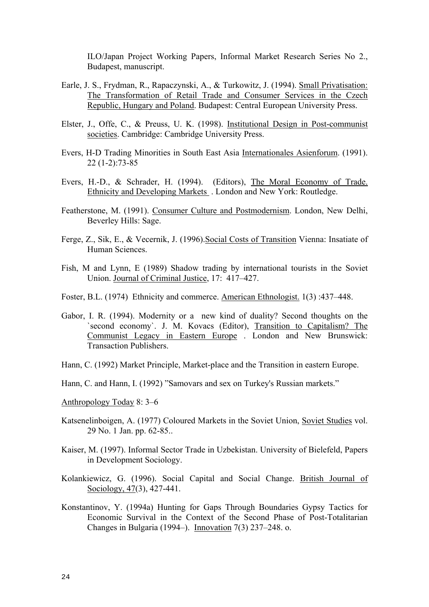ILO/Japan Project Working Papers, Informal Market Research Series No 2., Budapest, manuscript.

- Earle, J. S., Frydman, R., Rapaczynski, A., & Turkowitz, J. (1994). Small Privatisation: The Transformation of Retail Trade and Consumer Services in the Czech Republic, Hungary and Poland. Budapest: Central European University Press.
- Elster, J., Offe, C., & Preuss, U. K. (1998). Institutional Design in Post-communist societies. Cambridge: Cambridge University Press.
- Evers, H-D Trading Minorities in South East Asia Internationales Asienforum. (1991). 22 (1-2):73-85
- Evers, H.-D., & Schrader, H. (1994). (Editors), The Moral Economy of Trade. Ethnicity and Developing Markets . London and New York: Routledge.
- Featherstone, M. (1991). Consumer Culture and Postmodernism. London, New Delhi, Beverley Hills: Sage.
- Ferge, Z., Sik, E., & Vecernik, J. (1996).Social Costs of Transition Vienna: Insatiate of Human Sciences.
- Fish, M and Lynn, E (1989) Shadow trading by international tourists in the Soviet Union. Journal of Criminal Justice, 17: 417–427.
- Foster, B.L. (1974) Ethnicity and commerce. American Ethnologist. 1(3) :437–448.
- Gabor, I. R. (1994). Modernity or a new kind of duality? Second thoughts on the `second economy`. J. M. Kovacs (Editor), Transition to Capitalism? The Communist Legacy in Eastern Europe . London and New Brunswick: Transaction Publishers.
- Hann, C. (1992) Market Principle, Market-place and the Transition in eastern Europe.
- Hann, C. and Hann, I. (1992) "Samovars and sex on Turkey's Russian markets."
- Anthropology Today 8: 3–6
- Katsenelinboigen, A. (1977) Coloured Markets in the Soviet Union, Soviet Studies vol. 29 No. 1 Jan. pp. 62-85..
- Kaiser, M. (1997). Informal Sector Trade in Uzbekistan. University of Bielefeld, Papers in Development Sociology.
- Kolankiewicz, G. (1996). Social Capital and Social Change. British Journal of Sociology, 47(3), 427-441.
- Konstantinov, Y. (1994a) Hunting for Gaps Through Boundaries Gypsy Tactics for Economic Survival in the Context of the Second Phase of Post-Totalitarian Changes in Bulgaria (1994–). Innovation 7(3) 237–248. o.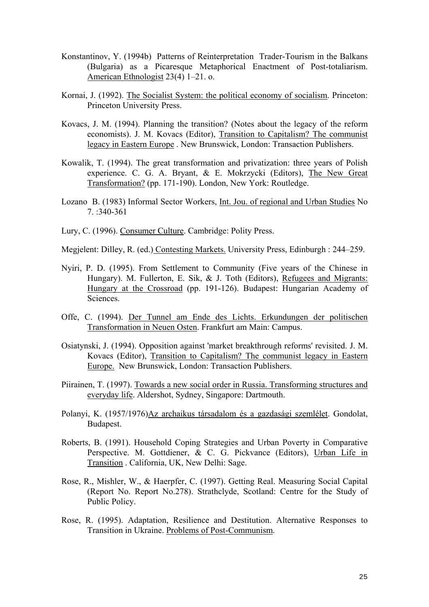- Konstantinov, Y. (1994b) Patterns of Reinterpretation Trader-Tourism in the Balkans (Bulgaria) as a Picaresque Metaphorical Enactment of Post-totaliarism. American Ethnologist 23(4) 1–21. o.
- Kornai, J. (1992). The Socialist System: the political economy of socialism. Princeton: Princeton University Press.
- Kovacs, J. M. (1994). Planning the transition? (Notes about the legacy of the reform economists). J. M. Kovacs (Editor), Transition to Capitalism? The communist legacy in Eastern Europe . New Brunswick, London: Transaction Publishers.
- Kowalik, T. (1994). The great transformation and privatization: three years of Polish experience. C. G. A. Bryant, & E. Mokrzycki (Editors), The New Great Transformation? (pp. 171-190). London, New York: Routledge.
- Lozano B. (1983) Informal Sector Workers, Int. Jou. of regional and Urban Studies No 7. :340-361
- Lury, C. (1996). Consumer Culture. Cambridge: Polity Press.

Megjelent: Dilley, R. (ed.) Contesting Markets. University Press, Edinburgh : 244–259.

- Nyiri, P. D. (1995). From Settlement to Community (Five years of the Chinese in Hungary). M. Fullerton, E. Sik, & J. Toth (Editors), Refugees and Migrants: Hungary at the Crossroad (pp. 191-126). Budapest: Hungarian Academy of Sciences.
- Offe, C. (1994). Der Tunnel am Ende des Lichts. Erkundungen der politischen Transformation in Neuen Osten. Frankfurt am Main: Campus.
- Osiatynski, J. (1994). Opposition against 'market breakthrough reforms' revisited. J. M. Kovacs (Editor), Transition to Capitalism? The communist legacy in Eastern Europe. New Brunswick, London: Transaction Publishers.
- Piirainen, T. (1997). Towards a new social order in Russia. Transforming structures and everyday life. Aldershot, Sydney, Singapore: Dartmouth.
- Polanyi, K. (1957/1976)Az archaikus társadalom és a gazdasági szemlélet. Gondolat, Budapest.
- Roberts, B. (1991). Household Coping Strategies and Urban Poverty in Comparative Perspective. M. Gottdiener, & C. G. Pickvance (Editors), Urban Life in Transition . California, UK, New Delhi: Sage.
- Rose, R., Mishler, W., & Haerpfer, C. (1997). Getting Real. Measuring Social Capital (Report No. Report No.278). Strathclyde, Scotland: Centre for the Study of Public Policy.
- Rose, R. (1995). Adaptation, Resilience and Destitution. Alternative Responses to Transition in Ukraine. Problems of Post-Communism.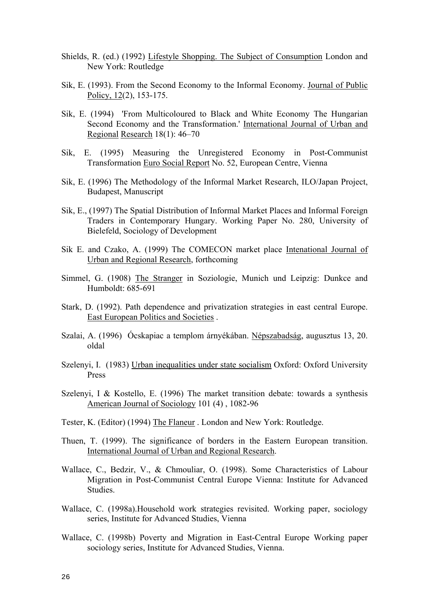- Shields, R. (ed.) (1992) Lifestyle Shopping. The Subject of Consumption London and New York: Routledge
- Sik, E. (1993). From the Second Economy to the Informal Economy. Journal of Public Policy, 12(2), 153-175.
- Sik, E. (1994) 'From Multicoloured to Black and White Economy The Hungarian Second Economy and the Transformation.' International Journal of Urban and Regional Research 18(1): 46–70
- Sik, E. (1995) Measuring the Unregistered Economy in Post-Communist Transformation Euro Social Report No. 52, European Centre, Vienna
- Sik, E. (1996) The Methodology of the Informal Market Research, ILO/Japan Project, Budapest, Manuscript
- Sik, E., (1997) The Spatial Distribution of Informal Market Places and Informal Foreign Traders in Contemporary Hungary. Working Paper No. 280, University of Bielefeld, Sociology of Development
- Sik E. and Czako, A. (1999) The COMECON market place Intenational Journal of Urban and Regional Research, forthcoming
- Simmel, G. (1908) The Stranger in Soziologie, Munich und Leipzig: Dunkce and Humboldt: 685-691
- Stark, D. (1992). Path dependence and privatization strategies in east central Europe. East European Politics and Societies .
- Szalai, A. (1996) Ócskapiac a templom árnyékában. Népszabadság, augusztus 13, 20. oldal
- Szelenyi, I. (1983) Urban inequalities under state socialism Oxford: Oxford University Press
- Szelenyi, I & Kostello, E. (1996) The market transition debate: towards a synthesis American Journal of Sociology 101 (4) , 1082-96
- Tester, K. (Editor) (1994) The Flaneur . London and New York: Routledge.
- Thuen, T. (1999). The significance of borders in the Eastern European transition. International Journal of Urban and Regional Research.
- Wallace, C., Bedzir, V., & Chmouliar, O. (1998). Some Characteristics of Labour Migration in Post-Communist Central Europe Vienna: Institute for Advanced Studies.
- Wallace, C. (1998a).Household work strategies revisited. Working paper, sociology series, Institute for Advanced Studies, Vienna
- Wallace, C. (1998b) Poverty and Migration in East-Central Europe Working paper sociology series, Institute for Advanced Studies, Vienna.